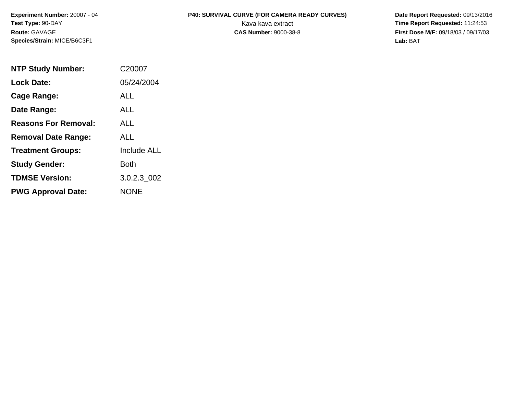**Experiment Number:** 20007 - 04 **Test Type:** 90-DAY **Route:** GAVAGE **Species/Strain:** MICE/B6C3F1

## P40: SURVIVAL CURVE (FOR CAMERA READY CURVES) Date Report Requested: 09/13/2016 Kava kava extract **Time Report Requested:** 11:24:53

**CAS Number:** 9000-38-8 **First Dose M/F:** 09/18/03 / 09/17/03 **Lab:** BAT

| <b>NTP Study Number:</b>    | C20007             |
|-----------------------------|--------------------|
| <b>Lock Date:</b>           | 05/24/2004         |
| Cage Range:                 | <b>ALL</b>         |
| Date Range:                 | AI I               |
| <b>Reasons For Removal:</b> | AI I               |
| <b>Removal Date Range:</b>  | ALL                |
| <b>Treatment Groups:</b>    | <b>Include ALL</b> |
| <b>Study Gender:</b>        | Both               |
| <b>TDMSE Version:</b>       | 3.0.2.3 002        |
| <b>PWG Approval Date:</b>   | <b>NONE</b>        |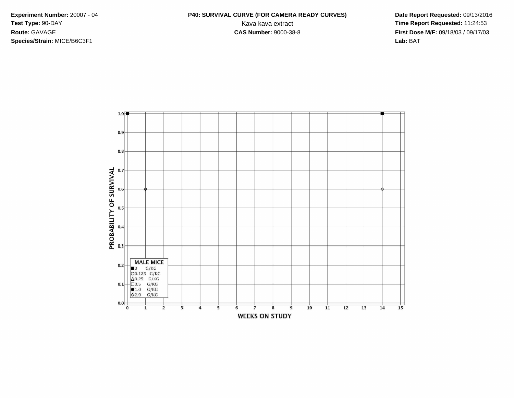**Species/Strain:** MICE/B6C3F1 **Lab:** BAT